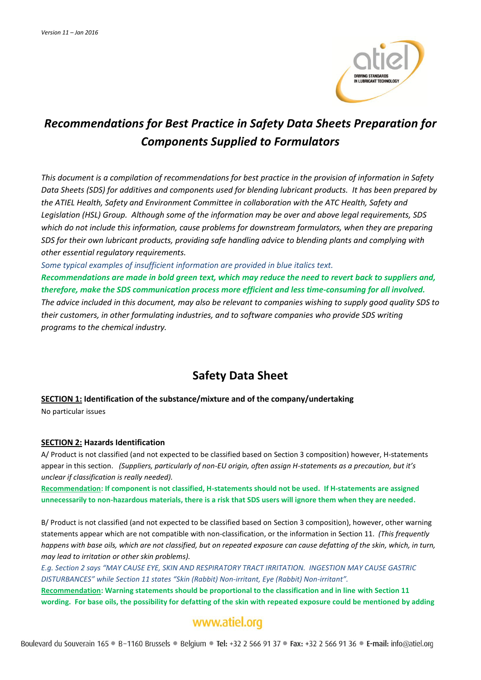

# *Recommendations for Best Practice in Safety Data Sheets Preparation for Components Supplied to Formulators*

*This document is a compilation of recommendations for best practice in the provision of information in Safety Data Sheets (SDS) for additives and components used for blending lubricant products. It has been prepared by the ATIEL Health, Safety and Environment Committee in collaboration with the ATC Health, Safety and Legislation (HSL) Group. Although some of the information may be over and above legal requirements, SDS which do not include this information, cause problems for downstream formulators, when they are preparing SDS for their own lubricant products, providing safe handling advice to blending plants and complying with other essential regulatory requirements.* 

*Some typical examples of insufficient information are provided in blue italics text.*

*Recommendations are made in bold green text, which may reduce the need to revert back to suppliers and, therefore, make the SDS communication process more efficient and less time-consuming for all involved. The advice included in this document, may also be relevant to companies wishing to supply good quality SDS to their customers, in other formulating industries, and to software companies who provide SDS writing programs to the chemical industry.* 

## **Safety Data Sheet**

#### **SECTION 1: Identification of the substance/mixture and of the company/undertaking**

No particular issues

#### **SECTION 2: Hazards Identification**

A/ Product is not classified (and not expected to be classified based on Section 3 composition) however, H-statements appear in this section. *(Suppliers, particularly of non-EU origin, often assign H-statements as a precaution, but it's unclear if classification is really needed).* 

**Recommendation: If component is not classified, H-statements should not be used. If H-statements are assigned unnecessarily to non-hazardous materials, there is a risk that SDS users will ignore them when they are needed.**

B/ Product is not classified (and not expected to be classified based on Section 3 composition), however, other warning statements appear which are not compatible with non-classification, or the information in Section 11. *(This frequently happens with base oils, which are not classified, but on repeated exposure can cause defatting of the skin, which, in turn, may lead to irritation or other skin problems).* 

*E.g. Section 2 says "MAY CAUSE EYE, SKIN AND RESPIRATORY TRACT IRRITATION. INGESTION MAY CAUSE GASTRIC DISTURBANCES" while Section 11 states "Skin (Rabbit) Non-irritant, Eye (Rabbit) Non-irritant".* 

**Recommendation: Warning statements should be proportional to the classification and in line with Section 11 wording. For base oils, the possibility for defatting of the skin with repeated exposure could be mentioned by adding** 

## www.atiel.org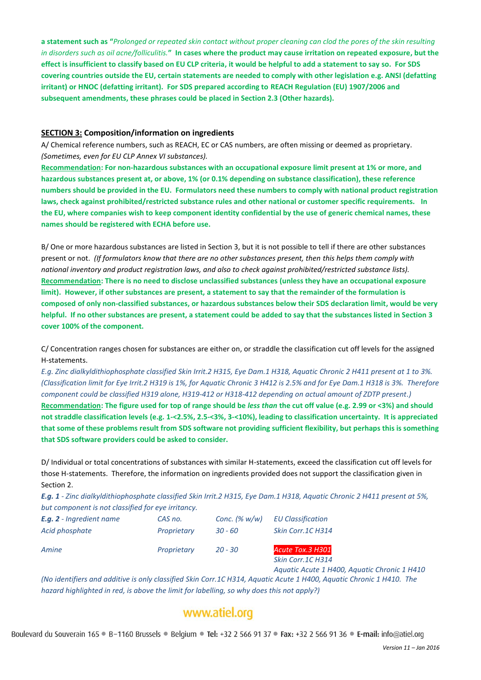**a statement such as "***Prolonged or repeated skin contact without proper cleaning can clod the pores of the skin resulting in disorders such as oil acne/folliculitis.***" In cases where the product may cause irritation on repeated exposure, but the effect is insufficient to classify based on EU CLP criteria, it would be helpful to add a statement to say so. For SDS covering countries outside the EU, certain statements are needed to comply with other legislation e.g. ANSI (defatting irritant) or HNOC (defatting irritant). For SDS prepared according to REACH Regulation (EU) 1907/2006 and subsequent amendments, these phrases could be placed in Section 2.3 (Other hazards).** 

#### **SECTION 3: Composition/information on ingredients**

A/ Chemical reference numbers, such as REACH, EC or CAS numbers, are often missing or deemed as proprietary. *(Sometimes, even for EU CLP Annex VI substances).* 

**Recommendation: For non-hazardous substances with an occupational exposure limit present at 1% or more, and hazardous substances present at, or above, 1% (or 0.1% depending on substance classification), these reference numbers should be provided in the EU. Formulators need these numbers to comply with national product registration laws, check against prohibited/restricted substance rules and other national or customer specific requirements. In the EU, where companies wish to keep component identity confidential by the use of generic chemical names, these names should be registered with ECHA before use.** 

B/ One or more hazardous substances are listed in Section 3, but it is not possible to tell if there are other substances present or not. *(If formulators know that there are no other substances present, then this helps them comply with national inventory and product registration laws, and also to check against prohibited/restricted substance lists).* **Recommendation: There is no need to disclose unclassified substances (unless they have an occupational exposure limit). However, if other substances are present, a statement to say that the remainder of the formulation is composed of only non-classified substances, or hazardous substances below their SDS declaration limit, would be very helpful. If no other substances are present, a statement could be added to say that the substances listed in Section 3 cover 100% of the component.**

C/ Concentration ranges chosen for substances are either on, or straddle the classification cut off levels for the assigned H-statements.

*E.g. Zinc dialkyldithiophosphate classified Skin Irrit.2 H315, Eye Dam.1 H318, Aquatic Chronic 2 H411 present at 1 to 3%. (Classification limit for Eye Irrit.2 H319 is 1%, for Aquatic Chronic 3 H412 is 2.5% and for Eye Dam.1 H318 is 3%. Therefore component could be classified H319 alone, H319-412 or H318-412 depending on actual amount of ZDTP present.)*  **Recommendation: The figure used for top of range should be** *less than* **the cut off value (e.g. 2.99 or <3%) and should not straddle classification levels (e.g. 1-<2.5%, 2.5-<3%, 3-<10%), leading to classification uncertainty. It is appreciated that some of these problems result from SDS software not providing sufficient flexibility, but perhaps this is something that SDS software providers could be asked to consider.** 

D/ Individual or total concentrations of substances with similar H-statements, exceed the classification cut off levels for those H-statements. Therefore, the information on ingredients provided does not support the classification given in Section 2.

*E.g. 1 - Zinc dialkyldithiophosphate classified Skin Irrit.2 H315, Eye Dam.1 H318, Aquatic Chronic 2 H411 present at 5%, but component is not classified for eye irritancy.* 

| <b>E.g. 2</b> - Ingredient name | CAS no.     | Conc. $(\% w/w)$ | <b>EU Classification</b> |
|---------------------------------|-------------|------------------|--------------------------|
| Acid phosphate                  | Proprietary | 30 - 60          | Skin Corr.1C H314        |
| Amine                           | Proprietary | $20 - 30$        | Acute Tox.3 H301         |

*Skin Corr.1C H314 Aquatic Acute 1 H400, Aquatic Chronic 1 H410*

*(No identifiers and additive is only classified Skin Corr.1C H314, Aquatic Acute 1 H400, Aquatic Chronic 1 H410. The hazard highlighted in red, is above the limit for labelling, so why does this not apply?)* 

## www.atiel.org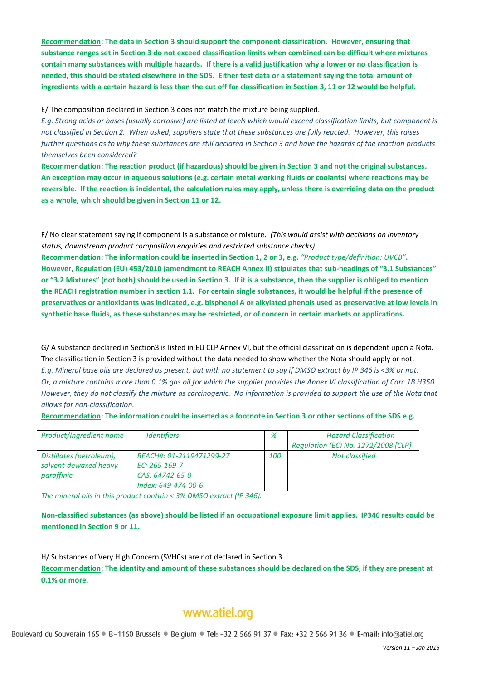**Recommendation: The data in Section 3 should support the component classification. However, ensuring that substance ranges set in Section 3 do not exceed classification limits when combined can be difficult where mixtures contain many substances with multiple hazards. If there is a valid justification why a lower or no classification is needed, this should be stated elsewhere in the SDS. Either test data or a statement saying the total amount of ingredients with a certain hazard is less than the cut off for classification in Section 3, 11 or 12 would be helpful.** 

#### E/ The composition declared in Section 3 does not match the mixture being supplied.

*E.g. Strong acids or bases (usually corrosive) are listed at levels which would exceed classification limits, but component is not classified in Section 2. When asked, suppliers state that these substances are fully reacted. However, this raises further questions as to why these substances are still declared in Section 3 and have the hazards of the reaction products themselves been considered?* 

**Recommendation: The reaction product (if hazardous) should be given in Section 3 and not the original substances. An exception may occur in aqueous solutions (e.g. certain metal working fluids or coolants) where reactions may be reversible. If the reaction is incidental, the calculation rules may apply, unless there is overriding data on the product as a whole, which should be given in Section 11 or 12.** 

F/ No clear statement saying if component is a substance or mixture. *(This would assist with decisions on inventory status, downstream product composition enquiries and restricted substance checks).* 

**Recommendation: The information could be inserted in Section 1, 2 or 3, e.g.** *"Product type/definition: UVCB"***. However, Regulation (EU) 453/2010 (amendment to REACH Annex II) stipulates that sub-headings of "3.1 Substances" or "3.2 Mixtures" (not both) should be used in Section 3. If it is a substance, then the supplier is obliged to mention the REACH registration number in section 1.1. For certain single substances, it would be helpful if the presence of preservatives or antioxidants was indicated, e.g. bisphenol A or alkylated phenols used as preservative at low levels in synthetic base fluids, as these substances may be restricted, or of concern in certain markets or applications.** 

G/ A substance declared in Section3 is listed in EU CLP Annex VI, but the official classification is dependent upon a Nota. The classification in Section 3 is provided without the data needed to show whether the Nota should apply or not. *E.g. Mineral base oils are declared as present, but with no statement to say if DMSO extract by IP 346 is <3% or not. Or, a mixture contains more than 0.1% gas oil for which the supplier provides the Annex VI classification of Carc.1B H350. However, they do not classify the mixture as carcinogenic. No information is provided to support the use of the Nota that allows for non-classification.*

**Recommendation: The information could be inserted as a footnote in Section 3 or other sections of the SDS e.g.** 

| Product/Ingredient name                                         | <i><u><b>Identifiers</b></u></i>                                                    | %          | <b>Hazard Classification</b><br>Regulation (EC) No. 1272/2008 [CLP] |
|-----------------------------------------------------------------|-------------------------------------------------------------------------------------|------------|---------------------------------------------------------------------|
| Distillates (petroleum),<br>solvent-dewaxed heavy<br>paraffinic | REACH#: 01-2119471299-27<br>EC: 265-169-7<br>CAS: 64742-65-0<br>Index: 649-474-00-6 | <b>100</b> | Not classified                                                      |

*The mineral oils in this product contain < 3% DMSO extract (IP 346).*

**Non-classified substances (as above) should be listed if an occupational exposure limit applies. IP346 results could be mentioned in Section 9 or 11.**

H/ Substances of Very High Concern (SVHCs) are not declared in Section 3.

**Recommendation: The identity and amount of these substances should be declared on the SDS, if they are present at 0.1% or more.** 

## www.atiel.org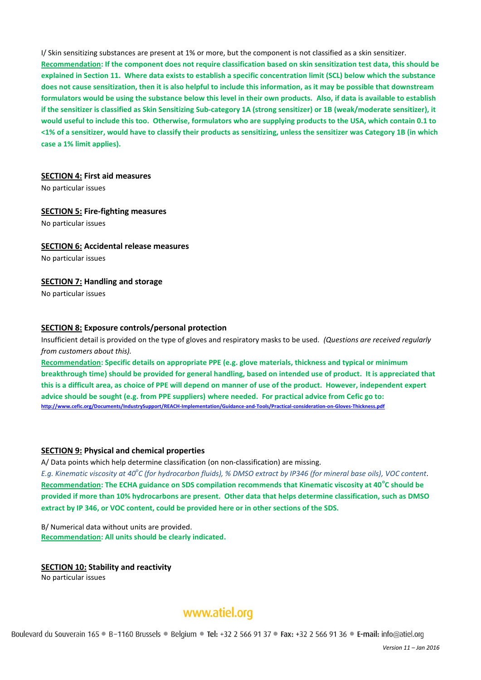I/ Skin sensitizing substances are present at 1% or more, but the component is not classified as a skin sensitizer. **Recommendation: If the component does not require classification based on skin sensitization test data, this should be explained in Section 11. Where data exists to establish a specific concentration limit (SCL) below which the substance does not cause sensitization, then it is also helpful to include this information, as it may be possible that downstream formulators would be using the substance below this level in their own products. Also, if data is available to establish if the sensitizer is classified as Skin Sensitizing Sub-category 1A (strong sensitizer) or 1B (weak/moderate sensitizer), it would useful to include this too. Otherwise, formulators who are supplying products to the USA, which contain 0.1 to <1% of a sensitizer, would have to classify their products as sensitizing, unless the sensitizer was Category 1B (in which case a 1% limit applies).** 

#### **SECTION 4: First aid measures**

No particular issues

#### **SECTION 5: Fire-fighting measures**

No particular issues

#### **SECTION 6: Accidental release measures**

No particular issues

#### **SECTION 7: Handling and storage**

No particular issues

#### **SECTION 8: Exposure controls/personal protection**

Insufficient detail is provided on the type of gloves and respiratory masks to be used. *(Questions are received regularly from customers about this).* 

**Recommendation: Specific details on appropriate PPE (e.g. glove materials, thickness and typical or minimum breakthrough time) should be provided for general handling, based on intended use of product. It is appreciated that this is a difficult area, as choice of PPE will depend on manner of use of the product. However, independent expert advice should be sought (e.g. from PPE suppliers) where needed. For practical advice from Cefic go to: <http://www.cefic.org/Documents/IndustrySupport/REACH-Implementation/Guidance-and-Tools/Practical-consideration-on-Gloves-Thickness.pdf>**

#### **SECTION 9: Physical and chemical properties**

A/ Data points which help determine classification (on non-classification) are missing.

*E.g. Kinematic viscosity at 40<sup>o</sup> C (for hydrocarbon fluids), % DMSO extract by IP346 (for mineral base oils), VOC content*. Recommendation: The ECHA guidance on SDS compilation recommends that Kinematic viscosity at 40<sup>°</sup>C should be **provided if more than 10% hydrocarbons are present. Other data that helps determine classification, such as DMSO extract by IP 346, or VOC content, could be provided here or in other sections of the SDS.** 

B/ Numerical data without units are provided. **Recommendation: All units should be clearly indicated.**

#### **SECTION 10: Stability and reactivity**

No particular issues

### www.atiel.org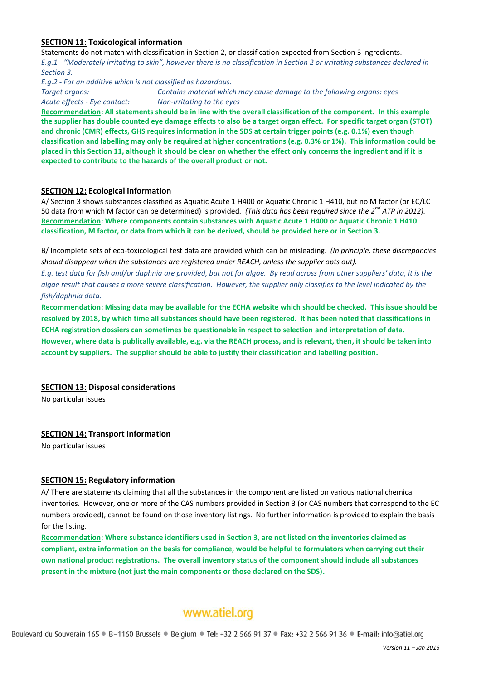#### **SECTION 11: Toxicological information**

Statements do not match with classification in Section 2, or classification expected from Section 3 ingredients. *E.g.1 - "Moderately irritating to skin", however there is no classification in Section 2 or irritating substances declared in Section 3.* 

*E.g.2 - For an additive which is not classified as hazardous.*

*Target organs: Contains material which may cause damage to the following organs: eyes Acute effects - Eye contact: Non-irritating to the eyes*

**Recommendation: All statements should be in line with the overall classification of the component. In this example the supplier has double counted eye damage effects to also be a target organ effect. For specific target organ (STOT) and chronic (CMR) effects, GHS requires information in the SDS at certain trigger points (e.g. 0.1%) even though classification and labelling may only be required at higher concentrations (e.g. 0.3% or 1%). This information could be placed in this Section 11, although it should be clear on whether the effect only concerns the ingredient and if it is expected to contribute to the hazards of the overall product or not.** 

#### **SECTION 12: Ecological information**

A/ Section 3 shows substances classified as Aquatic Acute 1 H400 or Aquatic Chronic 1 H410, but no M factor (or EC/LC 50 data from which M factor can be determined) is provided*. (This data has been required since the 2nd ATP in 2012).* **Recommendation: Where components contain substances with Aquatic Acute 1 H400 or Aquatic Chronic 1 H410 classification, M factor, or data from which it can be derived, should be provided here or in Section 3.**

B/ Incomplete sets of eco-toxicological test data are provided which can be misleading. *(In principle, these discrepancies should disappear when the substances are registered under REACH, unless the supplier opts out).* 

*E.g. test data for fish and/or daphnia are provided, but not for algae. By read across from other suppliers' data, it is the algae result that causes a more severe classification. However, the supplier only classifies to the level indicated by the fish/daphnia data.* 

**Recommendation: Missing data may be available for the ECHA website which should be checked. This issue should be resolved by 2018, by which time all substances should have been registered. It has been noted that classifications in ECHA registration dossiers can sometimes be questionable in respect to selection and interpretation of data. However, where data is publically available, e.g. via the REACH process, and is relevant, then, it should be taken into account by suppliers. The supplier should be able to justify their classification and labelling position.** 

#### **SECTION 13: Disposal considerations**

No particular issues

#### **SECTION 14: Transport information**

No particular issues

#### **SECTION 15: Regulatory information**

A/ There are statements claiming that all the substances in the component are listed on various national chemical inventories. However, one or more of the CAS numbers provided in Section 3 (or CAS numbers that correspond to the EC numbers provided), cannot be found on those inventory listings. No further information is provided to explain the basis for the listing.

**Recommendation: Where substance identifiers used in Section 3, are not listed on the inventories claimed as compliant, extra information on the basis for compliance, would be helpful to formulators when carrying out their own national product registrations. The overall inventory status of the component should include all substances present in the mixture (not just the main components or those declared on the SDS).** 

### www.atiel.org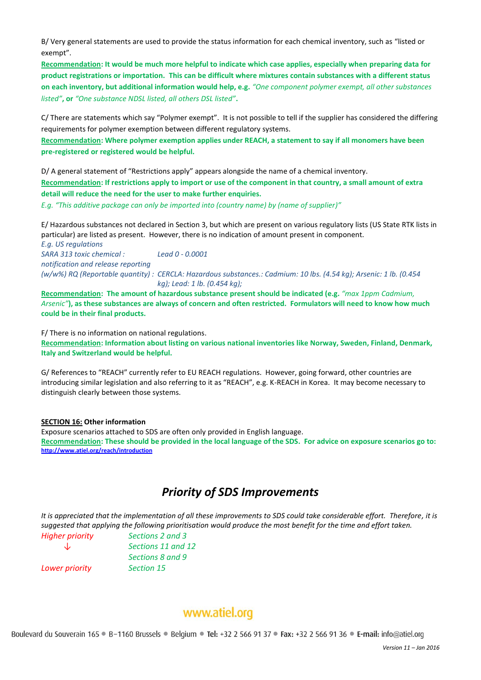B/ Very general statements are used to provide the status information for each chemical inventory, such as "listed or exempt".

**Recommendation: It would be much more helpful to indicate which case applies, especially when preparing data for product registrations or importation. This can be difficult where mixtures contain substances with a different status on each inventory, but additional information would help, e.g.** *"One component polymer exempt, all other substances listed"***, or** *"One substance NDSL listed, all others DSL listed"***.** 

C/ There are statements which say "Polymer exempt". It is not possible to tell if the supplier has considered the differing requirements for polymer exemption between different regulatory systems.

**Recommendation: Where polymer exemption applies under REACH, a statement to say if all monomers have been pre-registered or registered would be helpful.** 

D/ A general statement of "Restrictions apply" appears alongside the name of a chemical inventory. **Recommendation: If restrictions apply to import or use of the component in that country, a small amount of extra detail will reduce the need for the user to make further enquiries.** 

*E.g. "This additive package can only be imported into (country name) by (name of supplier)"* 

E/ Hazardous substances not declared in Section 3, but which are present on various regulatory lists (US State RTK lists in particular) are listed as present. However, there is no indication of amount present in component.

*E.g. US regulations SARA 313 toxic chemical : Lead 0 - 0.0001 notification and release reporting (w/w%) RQ (Reportable quantity) : CERCLA: Hazardous substances.: Cadmium: 10 lbs. (4.54 kg); Arsenic: 1 lb. (0.454 kg); Lead: 1 lb. (0.454 kg);*

**Recommendation: The amount of hazardous substance present should be indicated (e.g.** *"max 1ppm Cadmium, Arsenic"***), as these substances are always of concern and often restricted. Formulators will need to know how much could be in their final products.** 

F/ There is no information on national regulations. **Recommendation: Information about listing on various national inventories like Norway, Sweden, Finland, Denmark, Italy and Switzerland would be helpful.**

G/ References to "REACH" currently refer to EU REACH regulations. However, going forward, other countries are introducing similar legislation and also referring to it as "REACH", e.g. K-REACH in Korea. It may become necessary to distinguish clearly between those systems.

#### **SECTION 16: Other information**

Exposure scenarios attached to SDS are often only provided in English language. **Recommendation: These should be provided in the local language of the SDS. For advice on exposure scenarios go to: <http://www.atiel.org/reach/introduction>**

### *Priority of SDS Improvements*

*It is appreciated that the implementation of all these improvements to SDS could take considerable effort. Therefore, it is suggested that applying the following prioritisation would produce the most benefit for the time and effort taken.*

| <b>Higher priority</b> | Sections 2 and 3   |
|------------------------|--------------------|
| Jz                     | Sections 11 and 12 |
|                        | Sections 8 and 9   |
| Lower priority         | <b>Section 15</b>  |

### www.atiel.org